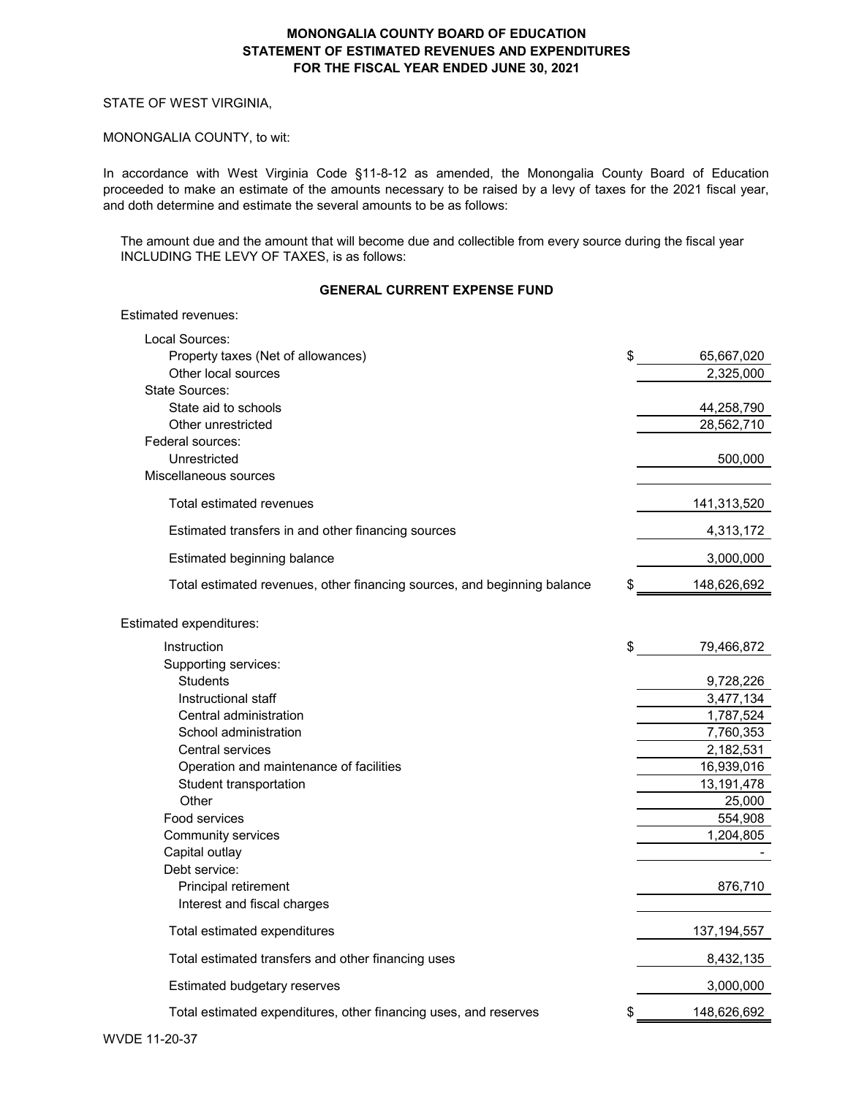#### STATE OF WEST VIRGINIA,

Estimated revenues:

#### MONONGALIA COUNTY, to wit:

In accordance with West Virginia Code §11-8-12 as amended, the Monongalia County Board of Education proceeded to make an estimate of the amounts necessary to be raised by a levy of taxes for the 2021 fiscal year, and doth determine and estimate the several amounts to be as follows:

The amount due and the amount that will become due and collectible from every source during the fiscal year INCLUDING THE LEVY OF TAXES, is as follows:

### **GENERAL CURRENT EXPENSE FUND**

| Local Sources:                                                           |                  |
|--------------------------------------------------------------------------|------------------|
| Property taxes (Net of allowances)                                       | \$<br>65,667,020 |
| Other local sources                                                      | 2,325,000        |
| State Sources:                                                           |                  |
| State aid to schools                                                     | 44,258,790       |
| Other unrestricted                                                       | 28,562,710       |
| Federal sources:                                                         |                  |
| Unrestricted                                                             | 500,000          |
| Miscellaneous sources                                                    |                  |
| Total estimated revenues                                                 | 141,313,520      |
| Estimated transfers in and other financing sources                       | 4,313,172        |
| Estimated beginning balance                                              | 3,000,000        |
| Total estimated revenues, other financing sources, and beginning balance | 148,626,692      |
| Estimated expenditures:                                                  |                  |
| Instruction                                                              | \$<br>79,466,872 |
| Supporting services:                                                     |                  |
| <b>Students</b>                                                          | 9,728,226        |
| Instructional staff                                                      | 3,477,134        |
| Central administration                                                   | 1,787,524        |
| School administration                                                    | 7,760,353        |
| <b>Central services</b>                                                  | 2,182,531        |
| Operation and maintenance of facilities                                  | 16,939,016       |
| Student transportation                                                   | 13,191,478       |
| Other                                                                    | 25,000           |
| Food services                                                            | 554,908          |
| Community services                                                       | 1,204,805        |
| Capital outlay                                                           |                  |
| Debt service:                                                            |                  |
| Principal retirement                                                     | 876,710          |
| Interest and fiscal charges                                              |                  |
| Total estimated expenditures                                             | 137, 194, 557    |
| Total estimated transfers and other financing uses                       | 8,432,135        |
| Estimated budgetary reserves                                             | 3,000,000        |
| Total estimated expenditures, other financing uses, and reserves         | 148,626,692      |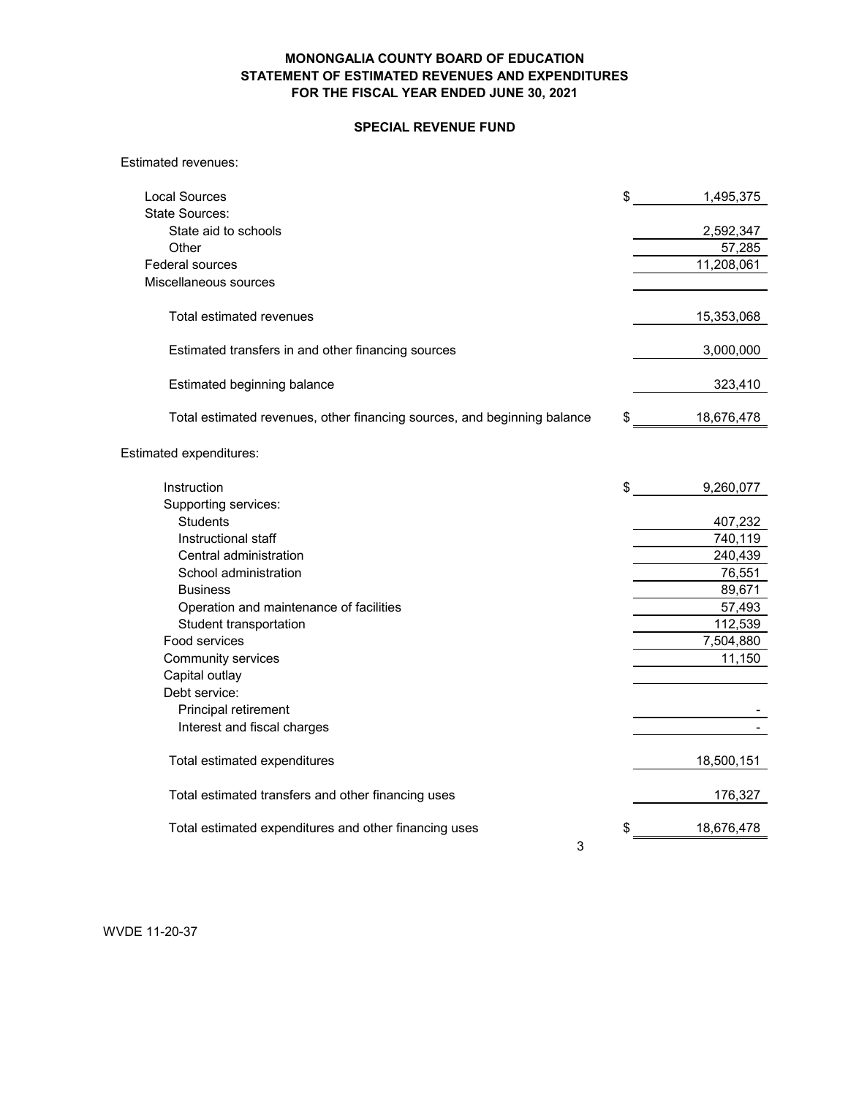### **SPECIAL REVENUE FUND**

Estimated revenues:

| Local Sources                                                            | \$<br>1,495,375     |
|--------------------------------------------------------------------------|---------------------|
| <b>State Sources:</b>                                                    |                     |
| State aid to schools<br>Other                                            | 2,592,347<br>57,285 |
| Federal sources                                                          | 11,208,061          |
| Miscellaneous sources                                                    |                     |
|                                                                          |                     |
| Total estimated revenues                                                 | 15,353,068          |
| Estimated transfers in and other financing sources                       | 3,000,000           |
| Estimated beginning balance                                              | 323,410             |
| Total estimated revenues, other financing sources, and beginning balance | \$<br>18,676,478    |
| Estimated expenditures:                                                  |                     |
| Instruction                                                              | \$<br>9,260,077     |
| Supporting services:                                                     |                     |
| <b>Students</b>                                                          | 407,232             |
| Instructional staff                                                      | 740,119             |
| Central administration                                                   | 240,439             |
| School administration                                                    | 76,551              |
| <b>Business</b>                                                          | 89,671              |
| Operation and maintenance of facilities                                  | 57,493              |
| Student transportation                                                   | 112,539             |
| Food services                                                            | 7,504,880           |
| Community services                                                       | 11,150              |
| Capital outlay                                                           |                     |
| Debt service:                                                            |                     |
| Principal retirement                                                     |                     |
| Interest and fiscal charges                                              |                     |
| Total estimated expenditures                                             | 18,500,151          |
| Total estimated transfers and other financing uses                       | 176,327             |
| Total estimated expenditures and other financing uses                    | 18,676,478          |
| 3                                                                        |                     |

WVDE 11-20-37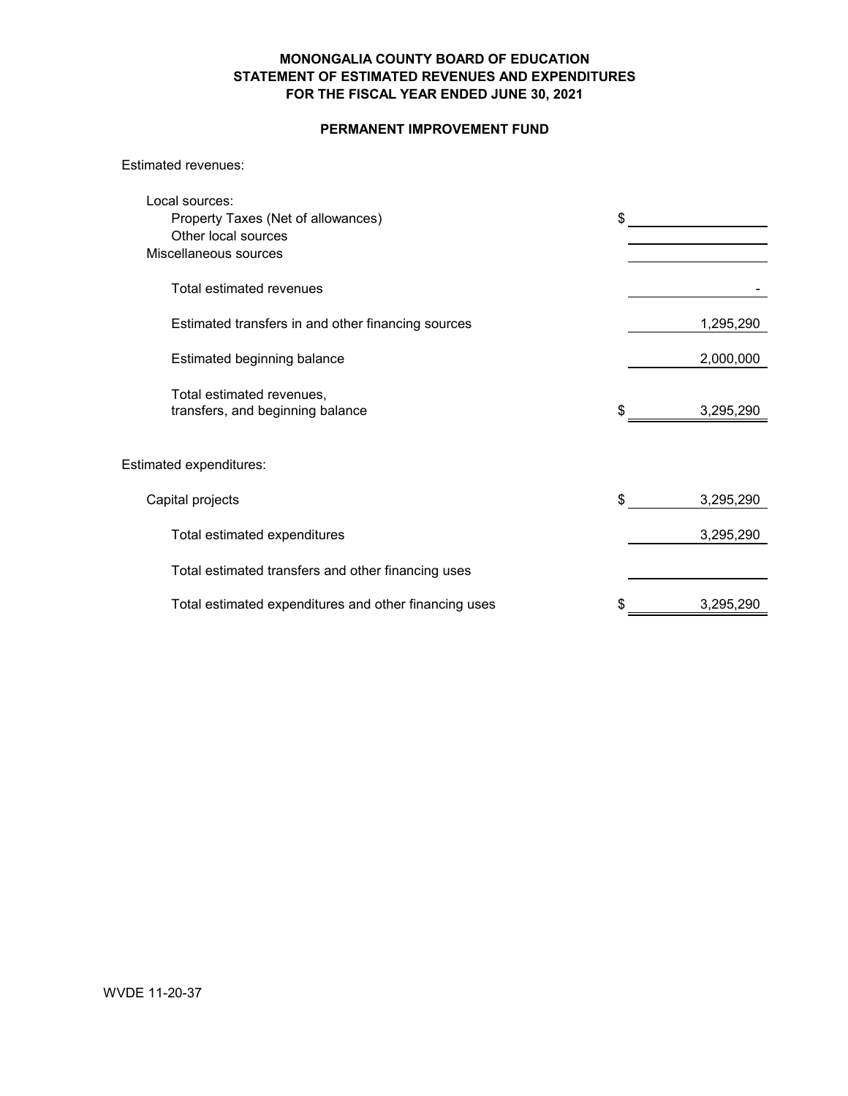### **PERMANENT IMPROVEMENT FUND**

#### Estimated revenues:

| Local sources:<br>Property Taxes (Net of allowances)<br>Other local sources<br>Miscellaneous sources | \$              |
|------------------------------------------------------------------------------------------------------|-----------------|
| Total estimated revenues                                                                             |                 |
| Estimated transfers in and other financing sources                                                   | 1,295,290       |
| Estimated beginning balance                                                                          | 2,000,000       |
| Total estimated revenues,<br>transfers, and beginning balance                                        | 3,295,290       |
| Estimated expenditures:                                                                              |                 |
| Capital projects                                                                                     | \$<br>3,295,290 |
| Total estimated expenditures                                                                         | 3,295,290       |
| Total estimated transfers and other financing uses                                                   |                 |
| Total estimated expenditures and other financing uses                                                | 3,295,290       |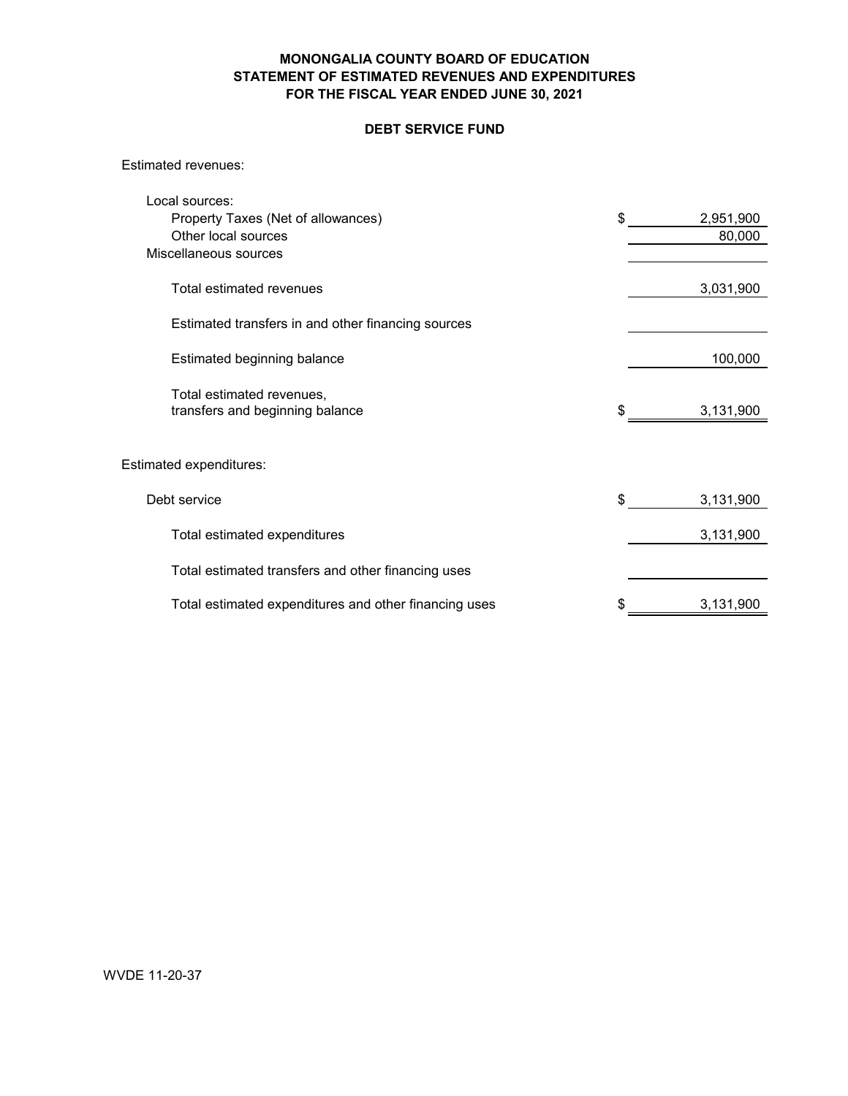## **DEBT SERVICE FUND**

Estimated revenues:

| Local sources:                                               |                 |
|--------------------------------------------------------------|-----------------|
| Property Taxes (Net of allowances)                           | \$<br>2,951,900 |
| Other local sources                                          | 80,000          |
| Miscellaneous sources                                        |                 |
| Total estimated revenues                                     | 3,031,900       |
| Estimated transfers in and other financing sources           |                 |
| Estimated beginning balance                                  | 100,000         |
| Total estimated revenues,<br>transfers and beginning balance | \$<br>3,131,900 |
|                                                              |                 |
| Estimated expenditures:                                      |                 |
| Debt service                                                 | \$<br>3,131,900 |
| Total estimated expenditures                                 | 3,131,900       |
| Total estimated transfers and other financing uses           |                 |
| Total estimated expenditures and other financing uses        | \$<br>3,131,900 |